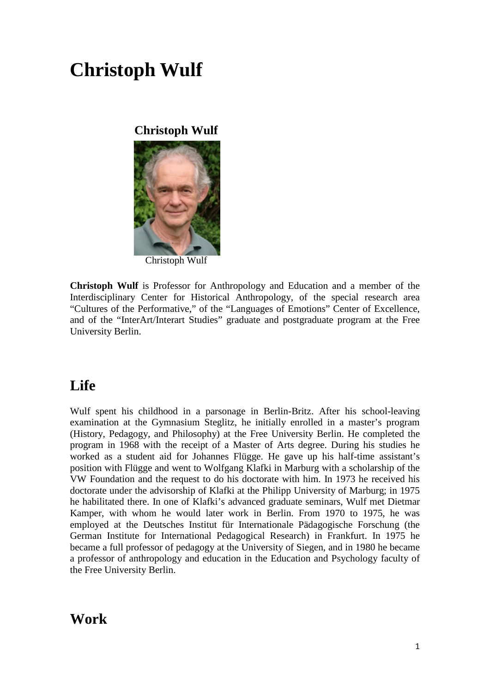# **Christoph Wulf**

### **Christoph Wulf**



Christoph Wulf

**Christoph Wulf** is Professor for Anthropology and Education and a member of the Interdisciplinary Center for Historical Anthropology, of the special research area "Cultures of the Performative," of the "Languages of Emotions" Center of Excellence, and of the "InterArt/Interart Studies" graduate and postgraduate program at the Free University Berlin.

# **Life**

Wulf spent his childhood in a parsonage in Berlin-Britz. After his school-leaving examination at the Gymnasium Steglitz, he initially enrolled in a master's program (History, Pedagogy, and Philosophy) at the Free University Berlin. He completed the program in 1968 with the receipt of a [Master of Arts](http://de.wikipedia.org/wiki/Magister_Artium) degree. During his studies he worked as a student aid for [Johannes Flügge.](http://de.wikipedia.org/w/index.php?title=Johannes_Fl%C3%BCgge&action=edit&redlink=1) He gave up his half-time assistant's position with Flügge and went to [Wolfgang Klafki](http://de.wikipedia.org/wiki/Wolfgang_Klafki) in Marburg with a scholarship of the VW Foundation and the request to do his doctorate with him. In 1973 he received his doctorate under the advisorship of Klafki at the [Philipp University of Marburg;](http://de.wikipedia.org/wiki/Philipps-Universit%C3%A4t_Marburg) in 1975 he habilitated there. In one of Klafki's advanced graduate seminars, Wulf met [Dietmar](http://de.wikipedia.org/wiki/Dietmar_Kamper)  [Kamper,](http://de.wikipedia.org/wiki/Dietmar_Kamper) with whom he would later work in Berlin. From 1970 to 1975, he was employed at the Deutsches Institut für Internationale Pädagogische Forschung (the German Institute for International Pedagogical Research) in Frankfurt. In 1975 he became a full professor of pedagogy at the [University of Siegen,](http://de.wikipedia.org/wiki/Universit%C3%A4t_Siegen) and in 1980 he became a professor of anthropology and education in the Education and Psychology faculty of the Free University Berlin.

### **Work**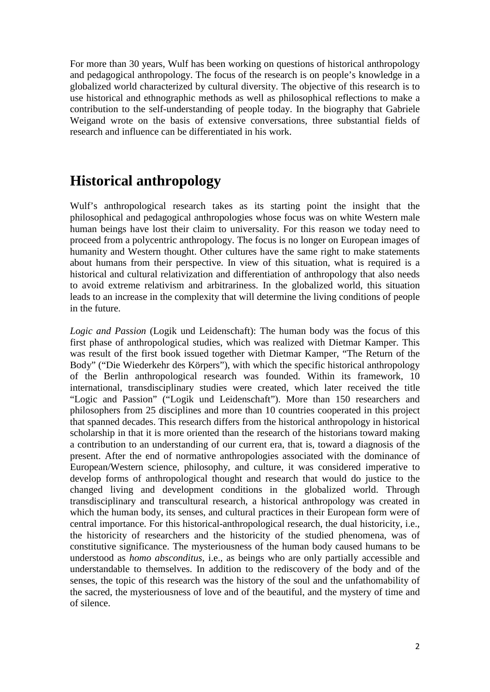For more than 30 years, Wulf has been working on questions of [historical anthropology](http://de.wikipedia.org/wiki/Historische_Anthropologie) and pedagogical anthropology. The focus of the research is on people's knowledge in a globalized world characterized by cultural diversity. The objective of this research is to use historical and ethnographic methods as well as philosophical reflections to make a contribution to the self-understanding of people today. In the biography that Gabriele Weigand wrote on the basis of extensive conversations, three substantial fields of research and influence can be differentiated in his work.

# **Historical anthropology**

Wulf's anthropological research takes as its starting point the insight that the philosophical and pedagogical anthropologies whose focus was on white Western male human beings have lost their claim to universality. For this reason we today need to proceed from a polycentric [anthropology.](http://de.wikipedia.org/wiki/Anthropologie) The focus is no longer on European images of humanity and Western thought. Other cultures have the same right to make statements about humans from their perspective. In view of this situation, what is required is a historical and cultural relativization and differentiation of anthropology that also needs to avoid extreme relativism and arbitrariness. In the globalized world, this situation leads to an increase in the complexity that will determine the living conditions of people in the future.

*Logic and Passion* (Logik und Leidenschaft): The human body was the focus of this first phase of anthropological studies, which was realized with Dietmar Kamper. This was result of the first book issued together with Dietmar Kamper, "The Return of the Body" ("Die Wiederkehr des Körpers"), with which the specific historical anthropology of the Berlin anthropological research was founded. Within its framework, 10 international, transdisciplinary studies were created, which later received the title "Logic and Passion" ("Logik und Leidenschaft"). More than 150 researchers and philosophers from 25 disciplines and more than 10 countries cooperated in this project that spanned decades. This research differs from the historical anthropology in historical scholarship in that it is more oriented than the research of the historians toward making a contribution to an understanding of our current era, that is, toward a diagnosis of the present. After the end of normative anthropologies associated with the dominance of European/Western science, philosophy, and culture, it was considered imperative to develop forms of anthropological thought and research that would do justice to the changed living and development conditions in the globalized world. Through transdisciplinary and transcultural research, a historical anthropology was created in which the human body, its senses, and cultural practices in their European form were of central importance. For this historical-anthropological research, the dual historicity, i.e., the historicity of researchers and the historicity of the studied phenomena, was of constitutive significance. The mysteriousness of the human body caused humans to be understood as *homo absconditus*, i.e., as beings who are only partially accessible and understandable to themselves. In addition to the rediscovery of the body and of the senses, the topic of this research was the history of the soul and the unfathomability of the sacred, the mysteriousness of love and of the beautiful, and the mystery of time and of silence.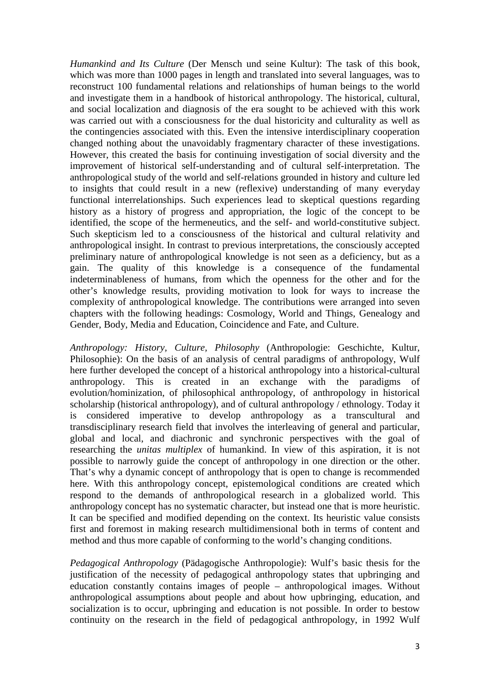*Humankind and Its Culture* (Der Mensch und seine Kultur): The task of this book, which was more than 1000 pages in length and translated into several languages, was to reconstruct 100 fundamental relations and relationships of human beings to the world and investigate them in a handbook of historical anthropology. The historical, cultural, and social localization and diagnosis of the era sought to be achieved with this work was carried out with a consciousness for the dual historicity and culturality as well as the contingencies associated with this. Even the intensive interdisciplinary cooperation changed nothing about the unavoidably fragmentary character of these investigations. However, this created the basis for continuing investigation of social diversity and the improvement of historical self-understanding and of cultural self-interpretation. The anthropological study of the world and self-relations grounded in history and culture led to insights that could result in a new (reflexive) understanding of many everyday functional interrelationships. Such experiences lead to skeptical questions regarding history as a history of progress and appropriation, the logic of the concept to be identified, the scope of the hermeneutics, and the self- and world-constitutive subject. Such skepticism led to a consciousness of the historical and cultural relativity and anthropological insight. In contrast to previous interpretations, the consciously accepted preliminary nature of anthropological knowledge is not seen as a deficiency, but as a gain. The quality of this knowledge is a consequence of the fundamental indeterminableness of humans, from which the openness for the other and for the other's knowledge results, providing motivation to look for ways to increase the complexity of anthropological knowledge. The contributions were arranged into seven chapters with the following headings: Cosmology, World and Things, Genealogy and Gender, Body, Media and Education, Coincidence and Fate, and Culture.

*Anthropology: History, Culture, Philosophy* (Anthropologie: Geschichte, Kultur, Philosophie): On the basis of an analysis of central paradigms of anthropology, Wulf here further developed the concept of a historical anthropology into a historical-cultural anthropology. This is created in an exchange with the paradigms of evolution/hominization, of philosophical anthropology, of anthropology in historical scholarship (historical anthropology), and of cultural anthropology / ethnology. Today it is considered imperative to develop anthropology as a transcultural and transdisciplinary research field that involves the interleaving of general and particular, global and local, and diachronic and synchronic perspectives with the goal of researching the *unitas multiplex* of humankind. In view of this aspiration, it is not possible to narrowly guide the concept of anthropology in one direction or the other. That's why a dynamic concept of anthropology that is open to change is recommended here. With this anthropology concept, epistemological conditions are created which respond to the demands of anthropological research in a globalized world. This anthropology concept has no systematic character, but instead one that is more heuristic. It can be specified and modified depending on the context. Its heuristic value consists first and foremost in making research multidimensional both in terms of content and method and thus more capable of conforming to the world's changing conditions.

*Pedagogical Anthropology* (Pädagogische Anthropologie): Wulf's basic thesis for the justification of the necessity of pedagogical anthropology states that upbringing and education constantly contains images of people – anthropological images. Without anthropological assumptions about people and about how upbringing, education, and socialization is to occur, upbringing and education is not possible. In order to bestow continuity on the research in the field of pedagogical anthropology, in 1992 Wulf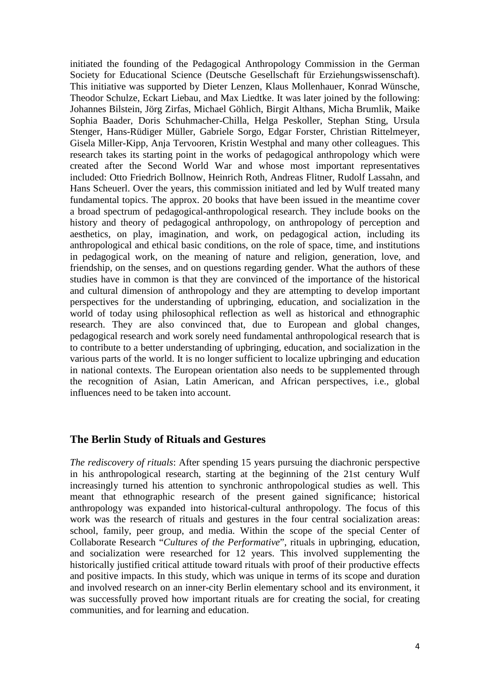initiated the founding of the Pedagogical Anthropology Commission in the German Society for Educational Science (Deutsche Gesellschaft für Erziehungswissenschaft). This initiative was supported by Dieter Lenzen, Klaus Mollenhauer, Konrad Wünsche, Theodor Schulze, Eckart Liebau, and Max Liedtke. It was later joined by the following: Johannes Bilstein, Jörg Zirfas, Michael Göhlich, Birgit Althans, Micha Brumlik, Maike Sophia Baader, Doris Schuhmacher-Chilla, Helga Peskoller, Stephan Sting, Ursula Stenger, Hans-Rüdiger Müller, Gabriele Sorgo, Edgar Forster, Christian Rittelmeyer, Gisela Miller-Kipp, Anja Tervooren, Kristin Westphal and many other colleagues. This research takes its starting point in the works of pedagogical anthropology which were created after the Second World War and whose most important representatives included: Otto Friedrich Bollnow, Heinrich Roth, Andreas Flitner, Rudolf Lassahn, and Hans Scheuerl. Over the years, this commission initiated and led by Wulf treated many fundamental topics. The approx. 20 books that have been issued in the meantime cover a broad spectrum of pedagogical-anthropological research. They include books on the history and theory of pedagogical anthropology, on anthropology of perception and aesthetics, on play, imagination, and work, on pedagogical action, including its anthropological and ethical basic conditions, on the role of space, time, and institutions in pedagogical work, on the meaning of nature and religion, generation, love, and friendship, on the senses, and on questions regarding gender. What the authors of these studies have in common is that they are convinced of the importance of the historical and cultural dimension of anthropology and they are attempting to develop important perspectives for the understanding of upbringing, education, and socialization in the world of today using philosophical reflection as well as historical and ethnographic research. They are also convinced that, due to European and global changes, pedagogical research and work sorely need fundamental anthropological research that is to contribute to a better understanding of upbringing, education, and socialization in the various parts of the world. It is no longer sufficient to localize upbringing and education in national contexts. The European orientation also needs to be supplemented through the recognition of Asian, Latin American, and African perspectives, i.e., global influences need to be taken into account.

#### **The Berlin Study of Rituals and Gestures**

*The rediscovery of rituals*: After spending 15 years pursuing the diachronic perspective in his anthropological research, starting at the beginning of the 21st century Wulf increasingly turned his attention to synchronic anthropological studies as well. This meant that ethnographic research of the present gained significance; historical anthropology was expanded into historical-cultural anthropology. The focus of this work was the research of rituals and gestures in the four central socialization areas: school, family, peer group, and media. Within the scope of the special Center of Collaborate Research "*Cultures of the Performative*", rituals in upbringing, education, and socialization were researched for 12 years. This involved supplementing the historically justified critical attitude toward rituals with proof of their productive effects and positive impacts. In this study, which was unique in terms of its scope and duration and involved research on an inner-city Berlin elementary school and its environment, it was successfully proved how important rituals are for creating the social, for creating communities, and for learning and education.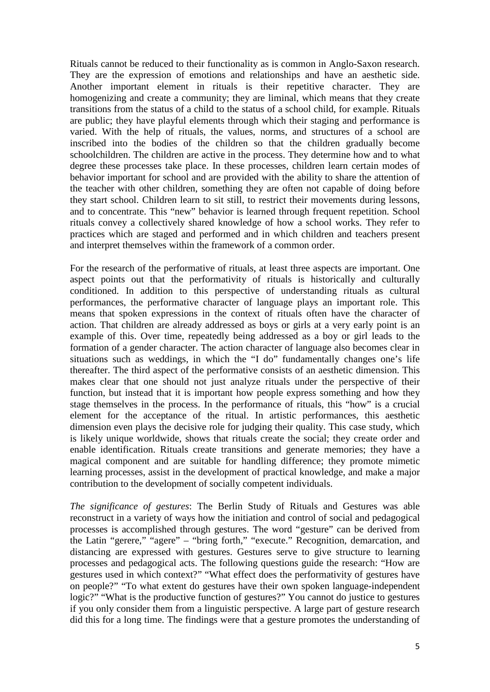Rituals cannot be reduced to their functionality as is common in Anglo-Saxon research. They are the expression of emotions and relationships and have an aesthetic side. Another important element in rituals is their repetitive character. They are homogenizing and create a community; they are liminal, which means that they create transitions from the status of a child to the status of a school child, for example. Rituals are public; they have playful elements through which their staging and performance is varied. With the help of rituals, the values, norms, and structures of a school are inscribed into the bodies of the children so that the children gradually become schoolchildren. The children are active in the process. They determine how and to what degree these processes take place. In these processes, children learn certain modes of behavior important for school and are provided with the ability to share the attention of the teacher with other children, something they are often not capable of doing before they start school. Children learn to sit still, to restrict their movements during lessons, and to concentrate. This "new" behavior is learned through frequent repetition. School rituals convey a collectively shared knowledge of how a school works. They refer to practices which are staged and performed and in which children and teachers present and interpret themselves within the framework of a common order.

For the research of the performative of rituals, at least three aspects are important. One aspect points out that the performativity of rituals is historically and culturally conditioned. In addition to this perspective of understanding rituals as cultural performances, the performative character of language plays an important role. This means that spoken expressions in the context of rituals often have the character of action. That children are already addressed as boys or girls at a very early point is an example of this. Over time, repeatedly being addressed as a boy or girl leads to the formation of a gender character. The action character of language also becomes clear in situations such as weddings, in which the "I do" fundamentally changes one's life thereafter. The third aspect of the performative consists of an aesthetic dimension. This makes clear that one should not just analyze rituals under the perspective of their function, but instead that it is important how people express something and how they stage themselves in the process. In the performance of rituals, this "how" is a crucial element for the acceptance of the ritual. In artistic performances, this aesthetic dimension even plays the decisive role for judging their quality. This case study, which is likely unique worldwide, shows that rituals create the social; they create order and enable identification. Rituals create transitions and generate memories; they have a magical component and are suitable for handling difference; they promote mimetic learning processes, assist in the development of practical knowledge, and make a major contribution to the development of socially competent individuals.

*The significance of gestures*: The Berlin Study of Rituals and Gestures was able reconstruct in a variety of ways how the initiation and control of social and pedagogical processes is accomplished through gestures. The word "gesture" can be derived from the Latin "gerere," "agere" – "bring forth," "execute." Recognition, demarcation, and distancing are expressed with gestures. Gestures serve to give structure to learning processes and pedagogical acts. The following questions guide the research: "How are gestures used in which context?" "What effect does the performativity of gestures have on people?" "To what extent do gestures have their own spoken language-independent logic?" "What is the productive function of gestures?" You cannot do justice to gestures if you only consider them from a linguistic perspective. A large part of gesture research did this for a long time. The findings were that a gesture promotes the understanding of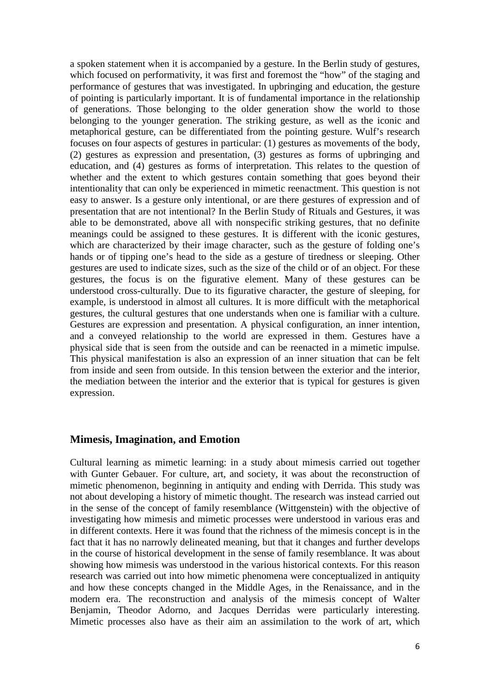a spoken statement when it is accompanied by a gesture. In the Berlin study of gestures, which focused on performativity, it was first and foremost the "how" of the staging and performance of gestures that was investigated. In upbringing and education, the gesture of pointing is particularly important. It is of fundamental importance in the relationship of generations. Those belonging to the older generation show the world to those belonging to the younger generation. The striking gesture, as well as the iconic and metaphorical gesture, can be differentiated from the pointing gesture. Wulf's research focuses on four aspects of gestures in particular: (1) gestures as movements of the body, (2) gestures as expression and presentation, (3) gestures as forms of upbringing and education, and (4) gestures as forms of interpretation. This relates to the question of whether and the extent to which gestures contain something that goes beyond their intentionality that can only be experienced in mimetic reenactment. This question is not easy to answer. Is a gesture only intentional, or are there gestures of expression and of presentation that are not intentional? In the Berlin Study of Rituals and Gestures, it was able to be demonstrated, above all with nonspecific striking gestures, that no definite meanings could be assigned to these gestures. It is different with the iconic gestures, which are characterized by their image character, such as the gesture of folding one's hands or of tipping one's head to the side as a gesture of tiredness or sleeping. Other gestures are used to indicate sizes, such as the size of the child or of an object. For these gestures, the focus is on the figurative element. Many of these gestures can be understood cross-culturally. Due to its figurative character, the gesture of sleeping, for example, is understood in almost all cultures. It is more difficult with the metaphorical gestures, the cultural gestures that one understands when one is familiar with a culture. Gestures are expression and presentation. A physical configuration, an inner intention, and a conveyed relationship to the world are expressed in them. Gestures have a physical side that is seen from the outside and can be reenacted in a mimetic impulse. This physical manifestation is also an expression of an inner situation that can be felt from inside and seen from outside. In this tension between the exterior and the interior, the mediation between the interior and the exterior that is typical for gestures is given expression.

#### **Mimesis, Imagination, and Emotion**

Cultural learning as [mimetic](http://de.wikipedia.org/wiki/Mimetisch) learning: in a study about mimesis carried out together with Gunter Gebauer. For culture, art, and society, it was about the reconstruction of mimetic phenomenon, beginning in antiquity and ending with Derrida. This study was not about developing a history of mimetic thought. The research was instead carried out in the sense of the concept of family resemblance (Wittgenstein) with the objective of investigating how mimesis and mimetic processes were understood in various eras and in different contexts. Here it was found that the richness of the mimesis concept is in the fact that it has no narrowly delineated meaning, but that it changes and further develops in the course of historical development in the sense of family resemblance. It was about showing how mimesis was understood in the various historical contexts. For this reason research was carried out into how mimetic phenomena were conceptualized in antiquity and how these concepts changed in the Middle Ages, in the Renaissance, and in the modern era. The reconstruction and analysis of the mimesis concept of Walter Benjamin, Theodor Adorno, and Jacques Derridas were particularly interesting. Mimetic processes also have as their aim an assimilation to the work of art, which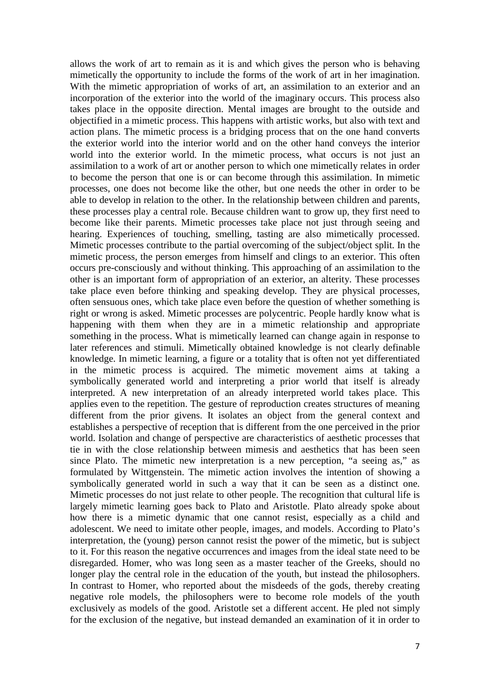allows the work of art to remain as it is and which gives the person who is behaving mimetically the opportunity to include the forms of the work of art in her imagination. With the mimetic appropriation of works of art, an assimilation to an exterior and an incorporation of the exterior into the world of the imaginary occurs. This process also takes place in the opposite direction. Mental images are brought to the outside and objectified in a mimetic process. This happens with artistic works, but also with text and action plans. The mimetic process is a bridging process that on the one hand converts the exterior world into the interior world and on the other hand conveys the interior world into the exterior world. In the mimetic process, what occurs is not just an assimilation to a work of art or another person to which one mimetically relates in order to become the person that one is or can become through this assimilation. In mimetic processes, one does not become like the other, but one needs the other in order to be able to develop in relation to the other. In the relationship between children and parents, these processes play a central role. Because children want to grow up, they first need to become like their parents. Mimetic processes take place not just through seeing and hearing. Experiences of touching, smelling, tasting are also mimetically processed. Mimetic processes contribute to the partial overcoming of the subject/object split. In the mimetic process, the person emerges from himself and clings to an exterior. This often occurs pre-consciously and without thinking. This approaching of an assimilation to the other is an important form of appropriation of an exterior, an alterity. These processes take place even before thinking and speaking develop. They are physical processes, often sensuous ones, which take place even before the question of whether something is right or wrong is asked. Mimetic processes are polycentric. People hardly know what is happening with them when they are in a mimetic relationship and appropriate something in the process. What is mimetically learned can change again in response to later references and stimuli. Mimetically obtained knowledge is not clearly definable knowledge. In mimetic learning, a figure or a totality that is often not yet differentiated in the mimetic process is acquired. The mimetic movement aims at taking a symbolically generated world and interpreting a prior world that itself is already interpreted. A new interpretation of an already interpreted world takes place. This applies even to the repetition. The gesture of reproduction creates structures of meaning different from the prior givens. It isolates an object from the general context and establishes a perspective of reception that is different from the one perceived in the prior world. Isolation and change of perspective are characteristics of aesthetic processes that tie in with the close relationship between mimesis and aesthetics that has been seen since Plato. The mimetic new interpretation is a new perception, "a seeing as," as formulated by Wittgenstein. The mimetic action involves the intention of showing a symbolically generated world in such a way that it can be seen as a distinct one. Mimetic processes do not just relate to other people. The recognition that cultural life is largely mimetic learning goes back to Plato and Aristotle. Plato already spoke about how there is a mimetic dynamic that one cannot resist, especially as a child and adolescent. We need to imitate other people, images, and models. According to Plato's interpretation, the (young) person cannot resist the power of the mimetic, but is subject to it. For this reason the negative occurrences and images from the ideal state need to be disregarded. Homer, who was long seen as a master teacher of the Greeks, should no longer play the central role in the education of the youth, but instead the philosophers. In contrast to Homer, who reported about the misdeeds of the gods, thereby creating negative role models, the philosophers were to become role models of the youth exclusively as models of the good. Aristotle set a different accent. He pled not simply for the exclusion of the negative, but instead demanded an examination of it in order to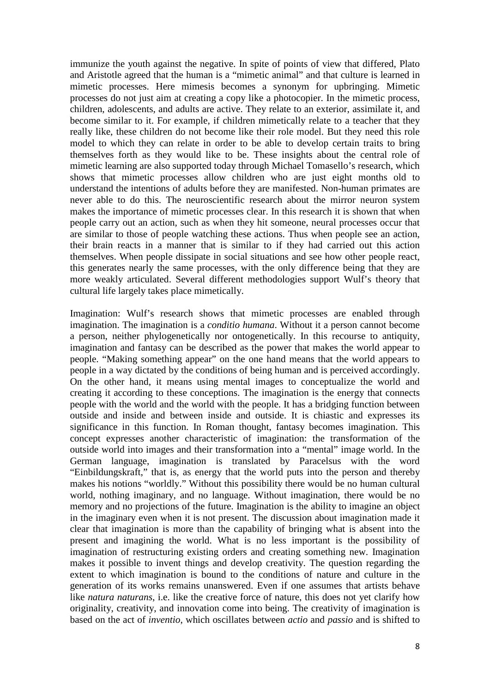immunize the youth against the negative. In spite of points of view that differed, Plato and Aristotle agreed that the human is a "mimetic animal" and that culture is learned in mimetic processes. Here mimesis becomes a synonym for upbringing. Mimetic processes do not just aim at creating a copy like a photocopier. In the mimetic process, children, adolescents, and adults are active. They relate to an exterior, assimilate it, and become similar to it. For example, if children mimetically relate to a teacher that they really like, these children do not become like their role model. But they need this role model to which they can relate in order to be able to develop certain traits to bring themselves forth as they would like to be. These insights about the central role of mimetic learning are also supported today through Michael Tomasello's research, which shows that mimetic processes allow children who are just eight months old to understand the intentions of adults before they are manifested. Non-human primates are never able to do this. The neuroscientific research about the mirror neuron system makes the importance of mimetic processes clear. In this research it is shown that when people carry out an action, such as when they hit someone, neural processes occur that are similar to those of people watching these actions. Thus when people see an action, their brain reacts in a manner that is similar to if they had carried out this action themselves. When people dissipate in social situations and see how other people react, this generates nearly the same processes, with the only difference being that they are more weakly articulated. Several different methodologies support Wulf's theory that cultural life largely takes place mimetically.

[Imagination:](http://de.wikipedia.org/wiki/Imagination) Wulf's research shows that mimetic processes are enabled through imagination. The imagination is a *conditio humana*. Without it a person cannot become a person, neither phylogenetically nor ontogenetically. In this recourse to antiquity, [imagination](http://de.wikipedia.org/wiki/Imagination) and [fantasy](http://de.wikipedia.org/wiki/Fantasie) can be described as the power that makes the world appear to people. "Making something appear" on the one hand means that the world appears to people in a way dictated by the conditions of being human and is perceived accordingly. On the other hand, it means using mental images to conceptualize the world and creating it according to these conceptions. The imagination is the energy that connects people with the world and the world with the people. It has a bridging function between outside and inside and between inside and outside. It is chiastic and expresses its significance in this function. In Roman thought, fantasy becomes imagination. This concept expresses another characteristic of imagination: the transformation of the outside world into images and their transformation into a "mental" image world. In the German language, imagination is translated by Paracelsus with the word ["Einbildungskraft,](http://de.wikipedia.org/wiki/Einbildungskraft)" that is, as energy that the world puts into the person and thereby makes his notions "worldly." Without this possibility there would be no human cultural world, nothing imaginary, and no language. Without imagination, there would be no memory and no projections of the future. Imagination is the ability to imagine an object in the imaginary even when it is not present. The discussion about imagination made it clear that imagination is more than the capability of bringing what is absent into the present and imagining the world. What is no less important is the possibility of imagination of restructuring existing orders and creating something new. Imagination makes it possible to invent things and develop creativity. The question regarding the extent to which imagination is bound to the conditions of nature and culture in the generation of its works remains unanswered. Even if one assumes that artists behave like *natura naturans*, i.e. like the creative force of nature, this does not yet clarify how originality, creativity, and innovation come into being. The creativity of imagination is based on the act of *inventio*, which oscillates between *actio* and *passio* and is shifted to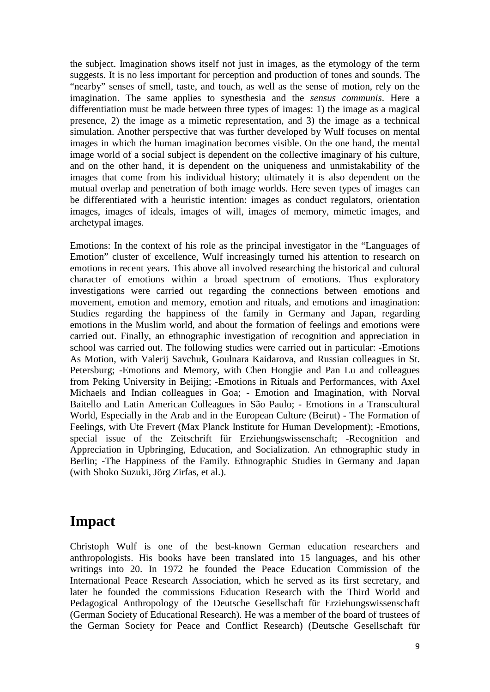the subject. Imagination shows itself not just in images, as the etymology of the term suggests. It is no less important for perception and production of tones and sounds. The "nearby" senses of smell, taste, and touch, as well as the sense of motion, rely on the imagination. The same applies to synesthesia and the *sensus communis*. Here a differentiation must be made between three types of images: 1) the image as a magical presence, 2) the image as a mimetic representation, and 3) the image as a technical simulation. Another perspective that was further developed by Wulf focuses on mental images in which the human imagination becomes visible. On the one hand, the mental image world of a social subject is dependent on the collective imaginary of his culture, and on the other hand, it is dependent on the uniqueness and unmistakability of the images that come from his individual history; ultimately it is also dependent on the mutual overlap and penetration of both image worlds. Here seven types of images can be differentiated with a heuristic intention: images as conduct regulators, orientation images, images of ideals, images of will, images of memory, mimetic images, and archetypal images.

[Emotions:](http://de.wikipedia.org/w/index.php?title=Emotionen&action=edit&redlink=1) In the context of his role as the principal investigator in the "Languages of Emotion" cluster of excellence, Wulf increasingly turned his attention to research on emotions in recent years. This above all involved researching the historical and cultural character of emotions within a broad spectrum of emotions. Thus exploratory investigations were carried out regarding the connections between emotions and movement, emotion and memory, emotion and rituals, and emotions and imagination: Studies regarding the happiness of the family in Germany and Japan, regarding emotions in the Muslim world, and about the formation of feelings and emotions were carried out. Finally, an ethnographic investigation of recognition and appreciation in school was carried out. The following studies were carried out in particular: -Emotions As Motion, with Valerij Savchuk, Goulnara Kaidarova, and Russian colleagues in St. Petersburg; -Emotions and Memory, with Chen Hongjie and Pan Lu and colleagues from Peking University in Beijing; -Emotions in Rituals and Performances, with Axel Michaels and Indian colleagues in Goa; - Emotion and Imagination, with Norval Baitello and Latin American Colleagues in São Paulo; - Emotions in a Transcultural World, Especially in the Arab and in the European Culture (Beirut) - The Formation of Feelings, with Ute Frevert (Max Planck Institute for Human Development); -Emotions, special issue of the Zeitschrift für Erziehungswissenschaft; -Recognition and Appreciation in Upbringing, Education, and Socialization. An ethnographic study in Berlin; -The Happiness of the Family. Ethnographic Studies in Germany and Japan (with Shoko Suzuki, Jörg Zirfas, et al.).

## **Impact**

Christoph Wulf is one of the best-known German education researchers and anthropologists. His books have been translated into 15 languages, and his other writings into 20. In 1972 he founded the Peace Education Commission of the International Peace Research Association, which he served as its first secretary, and later he founded the commissions Education Research with the Third World and Pedagogical Anthropology of the [Deutsche Gesellschaft für Erziehungswissenschaft](http://de.wikipedia.org/wiki/Deutsche_Gesellschaft_f%C3%BCr_Erziehungswissenschaft)  [\(German Society of Educational Research\).](http://de.wikipedia.org/wiki/Deutsche_Gesellschaft_f%C3%BCr_Erziehungswissenschaft) He was a member of the board of trustees of the German Society for Peace and Conflict Research) (Deutsche Gesellschaft für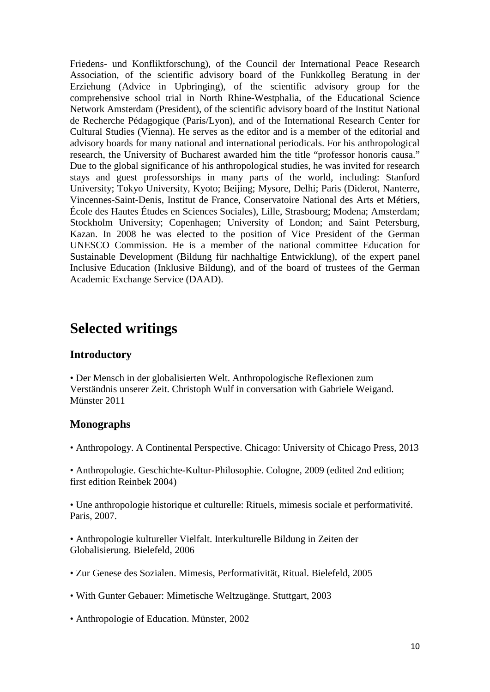Friedens- und Konfliktforschung), of the Council der International Peace Research Association, of the scientific advisory board of the Funkkolleg Beratung in der Erziehung (Advice in Upbringing), of the scientific advisory group for the comprehensive school trial in North Rhine-Westphalia, of the Educational Science Network Amsterdam (President), of the scientific advisory board of the Institut National de Recherche Pédagogique (Paris/Lyon), and of the International Research Center for Cultural Studies (Vienna). He serves as the editor and is a member of the editorial and advisory boards for many national and international periodicals. For his anthropological research, the University of Bucharest awarded him the title "professor honoris causa." Due to the global significance of his anthropological studies, he was invited for research stays and guest professorships in many parts of the world, including: [Stanford](http://de.wikipedia.org/wiki/Stanford_University)  [University;](http://de.wikipedia.org/wiki/Stanford_University) [Tokyo University,](http://de.wikipedia.org/wiki/Universit%C3%A4t_Tokio) Kyoto; Beijing; Mysore, Delhi; Paris (Diderot, [Nanterre,](http://de.wikipedia.org/wiki/Universit%C3%A4t_Paris-Nanterre) Vincennes-Saint-Denis, Institut de France, Conservatoire National des Arts et Métiers, École des Hautes Études en Sciences Sociales), Lille, Strasbourg; [Modena;](http://de.wikipedia.org/wiki/Modena) Amsterdam; [Stockholm University;](http://de.wikipedia.org/wiki/Stockholms_universitet) Copenhagen; [University of London;](http://de.wikipedia.org/wiki/University_of_London) and Saint Petersburg, Kazan. In 2008 he was elected to the position of Vice President of the German [UNESCO](http://de.wikipedia.org/wiki/UNESCO) Commission. He is a member of the national committee Education for Sustainable Development (Bildung für nachhaltige Entwicklung), of the expert panel Inclusive Education (Inklusive Bildung), and of the board of trustees of the German Academic Exchange Service (DAAD).

## **Selected writings**

#### **Introductory**

• Der Mensch in der globalisierten Welt. Anthropologische Reflexionen zum Verständnis unserer Zeit. Christoph Wulf in conversation with Gabriele Weigand. Münster 2011

#### **Monographs**

• Anthropology. A Continental Perspective. Chicago: University of Chicago Press, 2013

• Anthropologie. Geschichte-Kultur-Philosophie. Cologne, 2009 (edited 2nd edition; first edition Reinbek 2004)

• Une anthropologie historique et culturelle: Rituels, mimesis sociale et performativité. Paris, 2007.

• Anthropologie kultureller Vielfalt. Interkulturelle Bildung in Zeiten der Globalisierung. Bielefeld, 2006

- Zur Genese des Sozialen. Mimesis, Performativität, Ritual. Bielefeld, 2005
- With [Gunter Gebauer:](http://de.wikipedia.org/wiki/Gunter_Gebauer) Mimetische Weltzugänge. Stuttgart, 2003
- Anthropologie of Education. Münster, 2002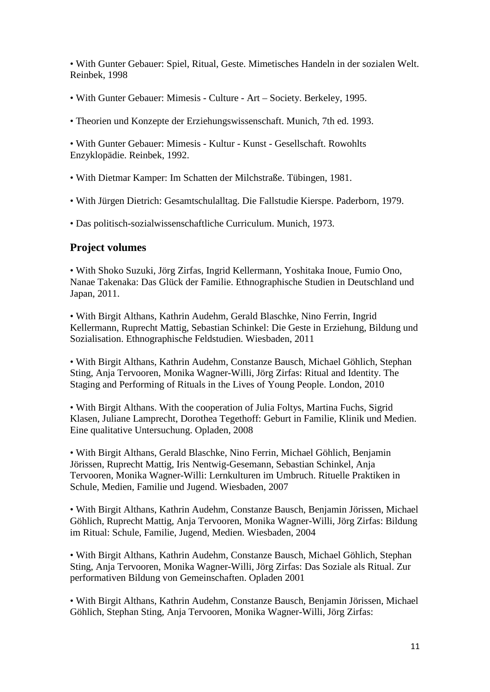• With [Gunter Gebauer:](http://de.wikipedia.org/wiki/Gunter_Gebauer) Spiel, Ritual, Geste. Mimetisches Handeln in der sozialen Welt. Reinbek, 1998

- With [Gunter Gebauer:](http://de.wikipedia.org/wiki/Gunter_Gebauer) Mimesis Culture Art Society. Berkeley, 1995.
- Theorien und Konzepte der Erziehungswissenschaft. Munich, 7th ed. 1993.

• With [Gunter Gebauer:](http://de.wikipedia.org/wiki/Gunter_Gebauer) Mimesis - Kultur - Kunst - Gesellschaft. Rowohlts Enzyklopädie. Reinbek, 1992.

• With [Dietmar Kamper:](http://de.wikipedia.org/wiki/Dietmar_Kamper) Im Schatten der Milchstraße. Tübingen, 1981.

• With Jürgen Dietrich: Gesamtschulalltag. Die Fallstudie Kierspe. Paderborn, 1979.

• Das politisch-sozialwissenschaftliche Curriculum. Munich, 1973.

#### **Project volumes**

• With Shoko Suzuki, Jörg Zirfas, Ingrid Kellermann, Yoshitaka Inoue, Fumio Ono, Nanae Takenaka: Das Glück der Familie. Ethnographische Studien in Deutschland und Japan, 2011.

• With Birgit Althans, Kathrin Audehm, Gerald Blaschke, Nino Ferrin, Ingrid Kellermann, Ruprecht Mattig, Sebastian Schinkel: Die Geste in Erziehung, Bildung und Sozialisation. Ethnographische Feldstudien. Wiesbaden, 2011

• With Birgit Althans, Kathrin Audehm, Constanze Bausch, Michael Göhlich, Stephan Sting, Anja Tervooren, Monika Wagner-Willi, Jörg Zirfas: Ritual and Identity. The Staging and Performing of Rituals in the Lives of Young People. London, 2010

• With Birgit Althans. With the cooperation of Julia Foltys, Martina Fuchs, Sigrid Klasen, Juliane Lamprecht, Dorothea Tegethoff: Geburt in Familie, Klinik und Medien. Eine qualitative Untersuchung. Opladen, 2008

• With Birgit Althans, Gerald Blaschke, Nino Ferrin, Michael Göhlich, Benjamin Jörissen, Ruprecht Mattig, Iris Nentwig-Gesemann, Sebastian Schinkel, Anja Tervooren, Monika Wagner-Willi: Lernkulturen im Umbruch. Rituelle Praktiken in Schule, Medien, Familie und Jugend. Wiesbaden, 2007

• With Birgit Althans, Kathrin Audehm, Constanze Bausch, Benjamin Jörissen, Michael Göhlich, Ruprecht Mattig, Anja Tervooren, Monika Wagner-Willi, Jörg Zirfas: Bildung im Ritual: Schule, Familie, Jugend, Medien. Wiesbaden, 2004

• With Birgit Althans, Kathrin Audehm, Constanze Bausch, Michael Göhlich, Stephan Sting, Anja Tervooren, Monika Wagner-Willi, Jörg Zirfas: Das Soziale als Ritual. Zur performativen Bildung von Gemeinschaften. Opladen 2001

• With Birgit Althans, Kathrin Audehm, Constanze Bausch, Benjamin Jörissen, Michael Göhlich, Stephan Sting, Anja Tervooren, Monika Wagner-Willi, Jörg Zirfas: